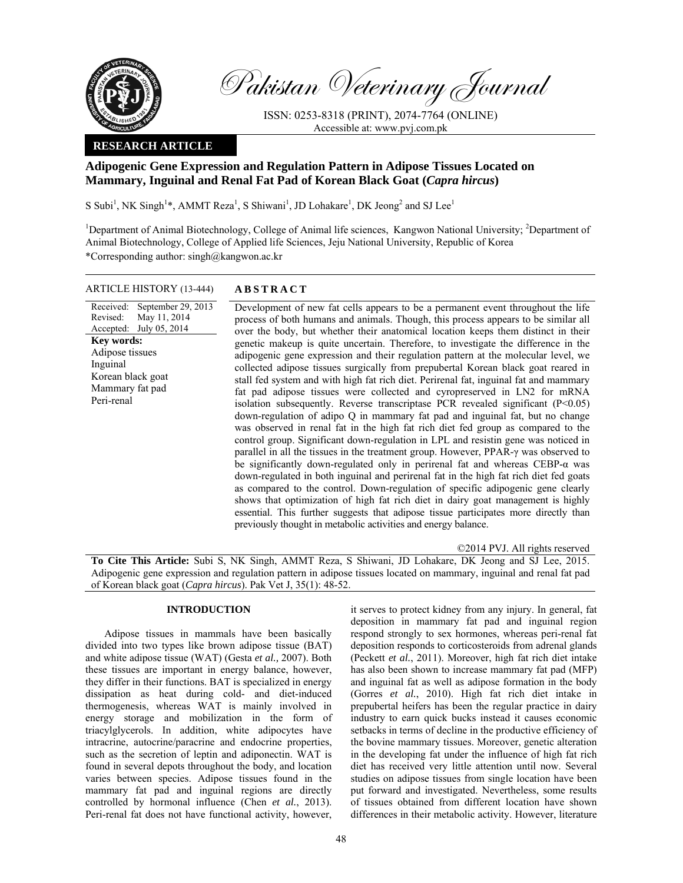

Received: Revised: Accepted:

**Key words:** 

Inguinal

Peri-renal

Pakistan Veterinary Journal

ISSN: 0253-8318 (PRINT), 2074-7764 (ONLINE) Accessible at: www.pvj.com.pk

# **RESEARCH ARTICLE**

# **Adipogenic Gene Expression and Regulation Pattern in Adipose Tissues Located on Mammary, Inguinal and Renal Fat Pad of Korean Black Goat (***Capra hircus***)**

S Subi<sup>1</sup>, NK Singh<sup>1\*</sup>, AMMT Reza<sup>1</sup>, S Shiwani<sup>1</sup>, JD Lohakare<sup>1</sup>, DK Jeong<sup>2</sup> and SJ Lee<sup>1</sup>

<sup>1</sup>Department of Animal Biotechnology, College of Animal life sciences, Kangwon National University; <sup>2</sup>Department of Animal Biotechnology, College of Applied life Sciences, Jeju National University, Republic of Korea \*Corresponding author: singh@kangwon.ac.kr

# ARTICLE HISTORY (13-444) **ABSTRACT**

September 29, 2013 May 11, 2014 July 05, 2014 Development of new fat cells appears to be a permanent event throughout the life process of both humans and animals. Though, this process appears to be similar all over the body, but whether their anatomical location keeps them distinct in their genetic makeup is quite uncertain. Therefore, to investigate the difference in the adipogenic gene expression and their regulation pattern at the molecular level, we collected adipose tissues surgically from prepubertal Korean black goat reared in stall fed system and with high fat rich diet. Perirenal fat, inguinal fat and mammary fat pad adipose tissues were collected and cyropreserved in LN2 for mRNA isolation subsequently. Reverse transcriptase PCR revealed significant (P<0.05) down-regulation of adipo Q in mammary fat pad and inguinal fat, but no change was observed in renal fat in the high fat rich diet fed group as compared to the control group. Significant down-regulation in LPL and resistin gene was noticed in parallel in all the tissues in the treatment group. However, PPAR-γ was observed to be significantly down-regulated only in perirenal fat and whereas CEBP-α was down-regulated in both inguinal and perirenal fat in the high fat rich diet fed goats as compared to the control. Down-regulation of specific adipogenic gene clearly shows that optimization of high fat rich diet in dairy goat management is highly essential. This further suggests that adipose tissue participates more directly than previously thought in metabolic activities and energy balance. Adipose tissues Korean black goat Mammary fat pad

©2014 PVJ. All rights reserved

**To Cite This Article:** Subi S, NK Singh, AMMT Reza, S Shiwani, JD Lohakare, DK Jeong and SJ Lee, 2015. Adipogenic gene expression and regulation pattern in adipose tissues located on mammary, inguinal and renal fat pad of Korean black goat (*Capra hircus*). Pak Vet J, 35(1): 48-52.

# **INTRODUCTION**

Adipose tissues in mammals have been basically divided into two types like brown adipose tissue (BAT) and white adipose tissue (WAT) (Gesta *et al.,* 2007). Both these tissues are important in energy balance, however, they differ in their functions. BAT is specialized in energy dissipation as heat during cold- and diet-induced thermogenesis, whereas WAT is mainly involved in energy storage and mobilization in the form of triacylglycerols. In addition, white adipocytes have intracrine, autocrine/paracrine and endocrine properties, such as the secretion of leptin and adiponectin. WAT is found in several depots throughout the body, and location varies between species. Adipose tissues found in the mammary fat pad and inguinal regions are directly controlled by hormonal influence (Chen *et al.*, 2013). Peri-renal fat does not have functional activity, however, it serves to protect kidney from any injury. In general, fat deposition in mammary fat pad and inguinal region respond strongly to sex hormones, whereas peri-renal fat deposition responds to corticosteroids from adrenal glands (Peckett *et al.*, 2011). Moreover, high fat rich diet intake has also been shown to increase mammary fat pad (MFP) and inguinal fat as well as adipose formation in the body (Gorres *et al.*, 2010). High fat rich diet intake in prepubertal heifers has been the regular practice in dairy industry to earn quick bucks instead it causes economic setbacks in terms of decline in the productive efficiency of the bovine mammary tissues. Moreover, genetic alteration in the developing fat under the influence of high fat rich diet has received very little attention until now. Several studies on adipose tissues from single location have been put forward and investigated. Nevertheless, some results of tissues obtained from different location have shown differences in their metabolic activity. However, literature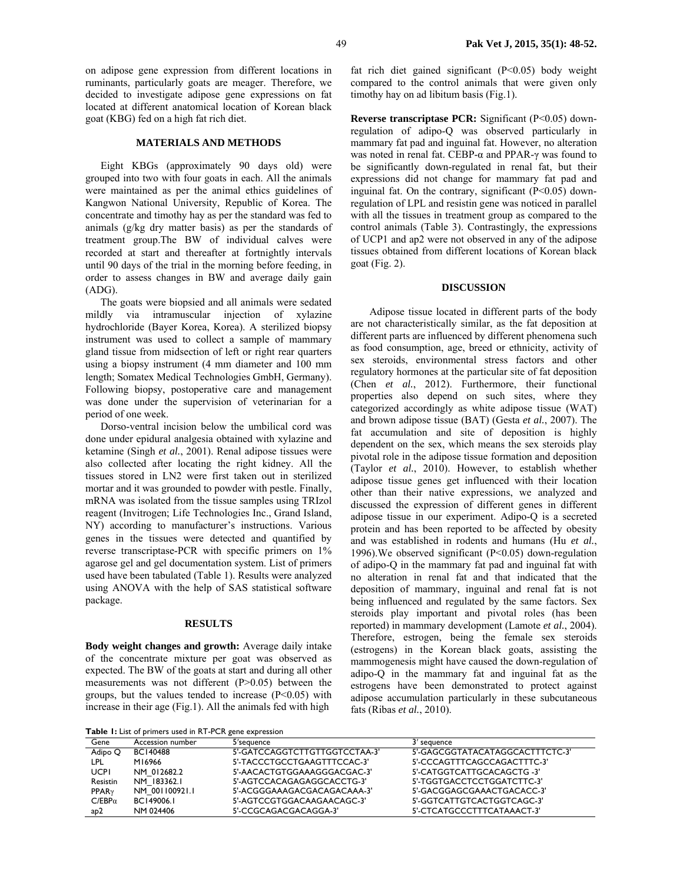on adipose gene expression from different locations in ruminants, particularly goats are meager. Therefore, we decided to investigate adipose gene expressions on fat located at different anatomical location of Korean black goat (KBG) fed on a high fat rich diet.

#### **MATERIALS AND METHODS**

Eight KBGs (approximately 90 days old) were grouped into two with four goats in each. All the animals were maintained as per the animal ethics guidelines of Kangwon National University, Republic of Korea. The concentrate and timothy hay as per the standard was fed to animals (g/kg dry matter basis) as per the standards of treatment group.The BW of individual calves were recorded at start and thereafter at fortnightly intervals until 90 days of the trial in the morning before feeding, in order to assess changes in BW and average daily gain (ADG).

The goats were biopsied and all animals were sedated mildly via intramuscular injection of xylazine hydrochloride (Bayer Korea, Korea). A sterilized biopsy instrument was used to collect a sample of mammary gland tissue from midsection of left or right rear quarters using a biopsy instrument (4 mm diameter and 100 mm length; Somatex Medical Technologies GmbH, Germany). Following biopsy, postoperative care and management was done under the supervision of veterinarian for a period of one week.

Dorso-ventral incision below the umbilical cord was done under epidural analgesia obtained with xylazine and ketamine (Singh *et al.*, 2001). Renal adipose tissues were also collected after locating the right kidney. All the tissues stored in LN2 were first taken out in sterilized mortar and it was grounded to powder with pestle. Finally, mRNA was isolated from the tissue samples using TRIzol reagent (Invitrogen; Life Technologies Inc., Grand Island, NY) according to manufacturer's instructions. Various genes in the tissues were detected and quantified by reverse transcriptase-PCR with specific primers on 1% agarose gel and gel documentation system. List of primers used have been tabulated (Table 1). Results were analyzed using ANOVA with the help of SAS statistical software package.

#### **RESULTS**

**Body weight changes and growth:** Average daily intake of the concentrate mixture per goat was observed as expected. The BW of the goats at start and during all other measurements was not different (P>0.05) between the groups, but the values tended to increase  $(P<0.05)$  with increase in their age (Fig.1). All the animals fed with high

fat rich diet gained significant  $(P<0.05)$  body weight compared to the control animals that were given only timothy hay on ad libitum basis (Fig.1).

**Reverse transcriptase PCR:** Significant (P<0.05) downregulation of adipo-Q was observed particularly in mammary fat pad and inguinal fat. However, no alteration was noted in renal fat. CEBP-α and PPAR-γ was found to be significantly down-regulated in renal fat, but their expressions did not change for mammary fat pad and inguinal fat. On the contrary, significant  $(P<0.05)$  downregulation of LPL and resistin gene was noticed in parallel with all the tissues in treatment group as compared to the control animals (Table 3). Contrastingly, the expressions of UCP1 and ap2 were not observed in any of the adipose tissues obtained from different locations of Korean black goat (Fig. 2).

## **DISCUSSION**

Adipose tissue located in different parts of the body are not characteristically similar, as the fat deposition at different parts are influenced by different phenomena such as food consumption, age, breed or ethnicity, activity of sex steroids, environmental stress factors and other regulatory hormones at the particular site of fat deposition (Chen *et al.*, 2012). Furthermore, their functional properties also depend on such sites, where they categorized accordingly as white adipose tissue (WAT) and brown adipose tissue (BAT) (Gesta *et al.*, 2007). The fat accumulation and site of deposition is highly dependent on the sex, which means the sex steroids play pivotal role in the adipose tissue formation and deposition (Taylor *et al.*, 2010). However, to establish whether adipose tissue genes get influenced with their location other than their native expressions, we analyzed and discussed the expression of different genes in different adipose tissue in our experiment. Adipo-Q is a secreted protein and has been reported to be affected by obesity and was established in rodents and humans (Hu *et al.*, 1996).We observed significant (P<0.05) down-regulation of adipo-Q in the mammary fat pad and inguinal fat with no alteration in renal fat and that indicated that the deposition of mammary, inguinal and renal fat is not being influenced and regulated by the same factors. Sex steroids play important and pivotal roles (has been reported) in mammary development (Lamote *et al.*, 2004). Therefore, estrogen, being the female sex steroids (estrogens) in the Korean black goats, assisting the mammogenesis might have caused the down-regulation of adipo-Q in the mammary fat and inguinal fat as the estrogens have been demonstrated to protect against adipose accumulation particularly in these subcutaneous fats (Ribas *et al.*, 2010).

**Table 1:** List of primers used in RT-PCR gene expression

| Gene                    | Accession number | 5'sequence                    | 3' sequence                     |  |  |  |  |  |
|-------------------------|------------------|-------------------------------|---------------------------------|--|--|--|--|--|
| Adipo Q                 | <b>BC140488</b>  | 5'-GATCCAGGTCTTGTTGGTCCTAA-3' | 5'-GAGCGGTATACATAGGCACTTTCTC-3' |  |  |  |  |  |
| LPL                     | M16966           | 5'-TACCCTGCCTGAAGTTTCCAC-3'   | 5'-CCCAGTTTCAGCCAGACTTTC-3'     |  |  |  |  |  |
| <b>UCPI</b>             | NM 012682.2      | 5'-AACACTGTGGAAAGGGACGAC-3'   | 5'-CATGGTCATTGCACAGCTG -3'      |  |  |  |  |  |
| Resistin                | NM 183362.1      | 5'-AGTCCACAGAGAGGCACCTG-3'    | 5'-TGGTGACCTCCTGGATCTTC-3'      |  |  |  |  |  |
| <b>PPAR<sub>y</sub></b> | NM 001100921.1   | 5'-ACGGGAAAGACGACAGACAAA-3'   | 5'-GACGGAGCGAAACTGACACC-3'      |  |  |  |  |  |
| $C/EBP\alpha$           | BC149006.1       | 5'-AGTCCGTGGACAAGAACAGC-3'    | 5'-GGTCATTGTCACTGGTCAGC-3'      |  |  |  |  |  |
| ap2                     | NM 024406        | 5'-CCGCAGACGACAGGA-3'         | 5'-CTCATGCCCTTTCATAAACT-3'      |  |  |  |  |  |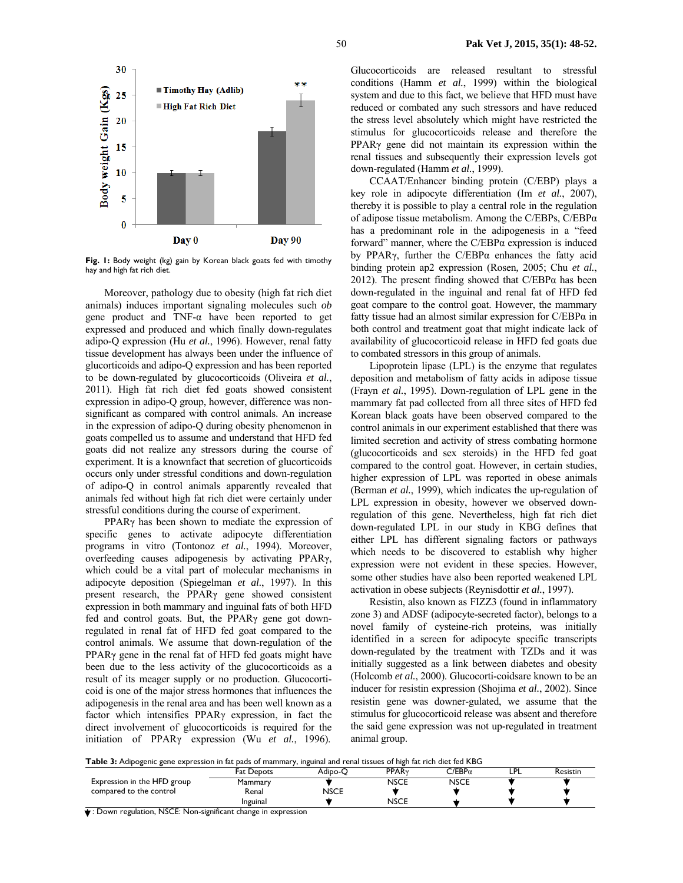

**Fig. 1:** Body weight (kg) gain by Korean black goats fed with timothy hay and high fat rich diet.

Moreover, pathology due to obesity (high fat rich diet animals) induces important signaling molecules such *ob*  gene product and TNF-α have been reported to get expressed and produced and which finally down-regulates adipo-Q expression (Hu *et al.*, 1996). However, renal fatty tissue development has always been under the influence of glucorticoids and adipo-Q expression and has been reported to be down-regulated by glucocorticoids (Oliveira *et al.*, 2011). High fat rich diet fed goats showed consistent expression in adipo-Q group, however, difference was nonsignificant as compared with control animals. An increase in the expression of adipo-Q during obesity phenomenon in goats compelled us to assume and understand that HFD fed goats did not realize any stressors during the course of experiment. It is a knownfact that secretion of glucorticoids occurs only under stressful conditions and down-regulation of adipo-Q in control animals apparently revealed that animals fed without high fat rich diet were certainly under stressful conditions during the course of experiment.

PPARγ has been shown to mediate the expression of specific genes to activate adipocyte differentiation programs in vitro (Tontonoz *et al.*, 1994). Moreover, overfeeding causes adipogenesis by activating PPARγ, which could be a vital part of molecular mechanisms in adipocyte deposition (Spiegelman *et al.*, 1997). In this present research, the PPARγ gene showed consistent expression in both mammary and inguinal fats of both HFD fed and control goats. But, the PPARγ gene got downregulated in renal fat of HFD fed goat compared to the control animals. We assume that down-regulation of the PPARγ gene in the renal fat of HFD fed goats might have been due to the less activity of the glucocorticoids as a result of its meager supply or no production. Glucocorticoid is one of the major stress hormones that influences the adipogenesis in the renal area and has been well known as a factor which intensifies PPARγ expression, in fact the direct involvement of glucocorticoids is required for the initiation of PPARγ expression (Wu *et al.*, 1996).

Glucocorticoids are released resultant to stressful conditions (Hamm *et al.*, 1999) within the biological system and due to this fact, we believe that HFD must have reduced or combated any such stressors and have reduced the stress level absolutely which might have restricted the stimulus for glucocorticoids release and therefore the PPARγ gene did not maintain its expression within the renal tissues and subsequently their expression levels got down-regulated (Hamm *et al.*, 1999).

CCAAT/Enhancer binding protein (C/EBP) plays a key role in adipocyte differentiation (Im *et al.*, 2007), thereby it is possible to play a central role in the regulation of adipose tissue metabolism. Among the C/EBPs, C/EBPα has a predominant role in the adipogenesis in a "feed forward" manner, where the C/EBPα expression is induced by PPARγ, further the C/EBPα enhances the fatty acid binding protein ap2 expression (Rosen*,* 2005; Chu *et al.*, 2012). The present finding showed that  $C/EBP\alpha$  has been down-regulated in the inguinal and renal fat of HFD fed goat compare to the control goat. However, the mammary fatty tissue had an almost similar expression for  $C/EBP\alpha$  in both control and treatment goat that might indicate lack of availability of glucocorticoid release in HFD fed goats due to combated stressors in this group of animals.

Lipoprotein lipase (LPL) is the enzyme that regulates deposition and metabolism of fatty acids in adipose tissue (Frayn *et al.*, 1995). Down-regulation of LPL gene in the mammary fat pad collected from all three sites of HFD fed Korean black goats have been observed compared to the control animals in our experiment established that there was limited secretion and activity of stress combating hormone (glucocorticoids and sex steroids) in the HFD fed goat compared to the control goat. However, in certain studies, higher expression of LPL was reported in obese animals (Berman *et al.*, 1999), which indicates the up-regulation of LPL expression in obesity, however we observed downregulation of this gene. Nevertheless, high fat rich diet down-regulated LPL in our study in KBG defines that either LPL has different signaling factors or pathways which needs to be discovered to establish why higher expression were not evident in these species. However, some other studies have also been reported weakened LPL activation in obese subjects (Reynisdottir *et al.*, 1997).

Resistin, also known as FIZZ3 (found in inflammatory zone 3) and ADSF (adipocyte-secreted factor), belongs to a novel family of cysteine-rich proteins, was initially identified in a screen for adipocyte specific transcripts down-regulated by the treatment with TZDs and it was initially suggested as a link between diabetes and obesity (Holcomb *et al.*, 2000). Glucocorti-coidsare known to be an inducer for resistin expression (Shojima *et al.*, 2002). Since resistin gene was downer-gulated, we assume that the stimulus for glucocorticoid release was absent and therefore the said gene expression was not up-regulated in treatment animal group.

**Table 3:** Adipogenic gene expression in fat pads of mammary, inguinal and renal tissues of high fat rich diet fed KBG

| a ware on the perfective generally essential in the phase of minimum fit ingerial and remain assessed or might had received research |                   |             |                         |                      |   |                 |  |  |  |  |
|--------------------------------------------------------------------------------------------------------------------------------------|-------------------|-------------|-------------------------|----------------------|---|-----------------|--|--|--|--|
|                                                                                                                                      | <b>Fat Depots</b> | Adipo-C     | <b>PPAR<sub>y</sub></b> | $\cap$ /EBP $\alpha$ | P | <b>Resistin</b> |  |  |  |  |
| Expression in the HFD group                                                                                                          | Mammary           |             | <b>NSCE</b>             | <b>NSCE</b>          |   |                 |  |  |  |  |
| compared to the control                                                                                                              | Renal             | <b>NSCE</b> |                         |                      |   |                 |  |  |  |  |
|                                                                                                                                      | Inguinal          |             | <b>NSCE</b>             |                      |   |                 |  |  |  |  |

: Down regulation, NSCE: Non-significant change in expression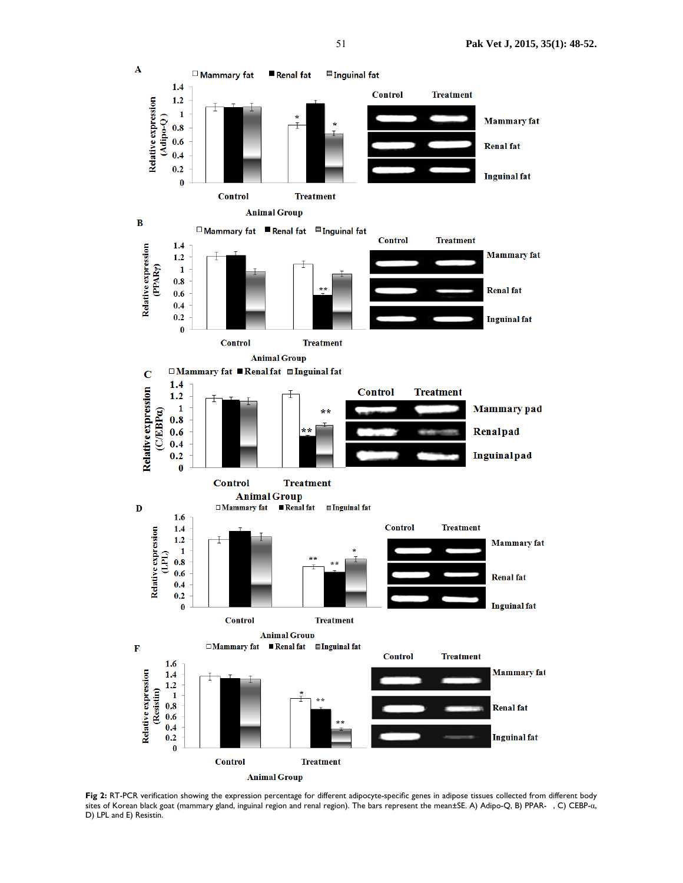

Fig 2: RT-PCR verification showing the expression percentage for different adipocyte-specific genes in adipose tissues collected from different body sites of Korean black goat (mammary gland, inguinal region and renal region). The bars represent the mean±SE. A) Adipo-Q, B) PPAR-, C) CEBP-α, D) LPL and E) Resistin.